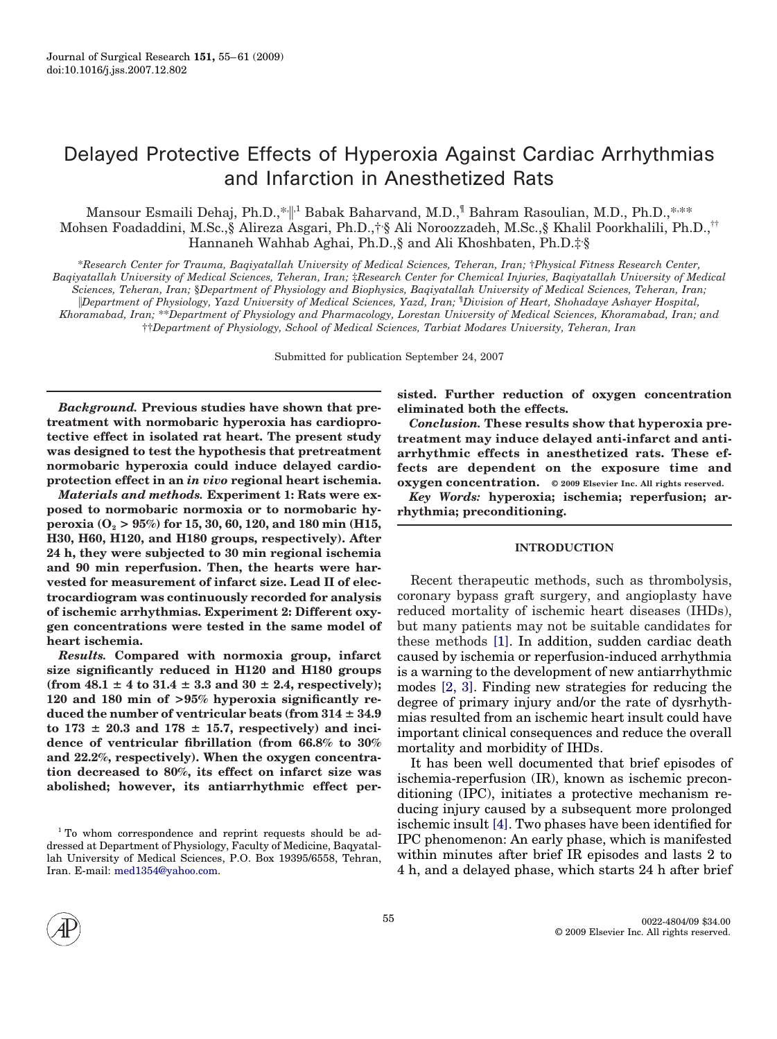# Delayed Protective Effects of Hyperoxia Against Cardiac Arrhythmias and Infarction in Anesthetized Rats

Mansour Esmaili Dehaj, Ph.D.,\* $\Vert^1$  Babak Baharvand, M.D., $\Vert$  Bahram Rasoulian, M.D., Ph.D.,\*<sub>\*\*\*</sub> Mohsen Foadaddini, M.Sc.,§ Alireza Asgari, Ph.D.,†, § Ali Noroozzadeh, M.Sc.,§ Khalil Poorkhalili, Ph.D.,†† Hannaneh Wahhab Aghai, Ph.D.,§ and Ali Khoshbaten, Ph.D.‡.§

\**Research Center for Trauma, Baqiyatallah University of Medical Sciences, Teheran, Iran;* †*Physical Fitness Research Center, Baqiyatallah University of Medical Sciences, Teheran, Iran;* ‡*Research Center for Chemical Injuries, Baqiyatallah University of Medical Sciences, Teheran, Iran;* §*Department of Physiology and Biophysics, Baqiyatallah University of Medical Sciences, Teheran, Iran; Department of Physiology, Yazd University of Medical Sciences, Yazd, Iran;* ¶ *Division of Heart, Shohadaye Ashayer Hospital, Khoramabad, Iran;* \*\**Department of Physiology and Pharmacology, Lorestan University of Medical Sciences, Khoramabad, Iran; and* ††*Department of Physiology, School of Medical Sciences, Tarbiat Modares University, Teheran, Iran*

Submitted for publication September 24, 2007

*Background.* **Previous studies have shown that pretreatment with normobaric hyperoxia has cardioprotective effect in isolated rat heart. The present study was designed to test the hypothesis that pretreatment normobaric hyperoxia could induce delayed cardioprotection effect in an** *in vivo* **regional heart ischemia.**

*Materials and methods.* **Experiment 1: Rats were exposed to normobaric normoxia or to normobaric hyperoxia (O2 > 95%) for 15, 30, 60, 120, and 180 min (H15, H30, H60, H120, and H180 groups, respectively). After 24 h, they were subjected to 30 min regional ischemia and 90 min reperfusion. Then, the hearts were harvested for measurement of infarct size. Lead II of electrocardiogram was continuously recorded for analysis of ischemic arrhythmias. Experiment 2: Different oxygen concentrations were tested in the same model of heart ischemia.**

*Results.* **Compared with normoxia group, infarct size significantly reduced in H120 and H180 groups**  $(from 48.1 \pm 4 to 31.4 \pm 3.3 and 30 \pm 2.4, respectively);$ **120 and 180 min of >95% hyperoxia significantly re**duced the number of ventricular beats (from  $314 \pm 34.9$  $\text{to } 173 \pm 20.3 \text{ and } 178 \pm 15.7$ , respectively) and inci**dence of ventricular fibrillation (from 66.8% to 30% and 22.2%, respectively). When the oxygen concentration decreased to 80%, its effect on infarct size was abolished; however, its antiarrhythmic effect per-** **sisted. Further reduction of oxygen concentration eliminated both the effects.**

*Conclusion.* **These results show that hyperoxia pretreatment may induce delayed anti-infarct and antiarrhythmic effects in anesthetized rats. These effects are dependent on the exposure time and oxygen concentration. © 2009 Elsevier Inc. All rights reserved.**

*Key Words:* **hyperoxia; ischemia; reperfusion; arrhythmia; preconditioning.**

# **INTRODUCTION**

Recent therapeutic methods, such as thrombolysis, coronary bypass graft surgery, and angioplasty have reduced mortality of ischemic heart diseases (IHDs), but many patients may not be suitable candidates for these methods [\[1\].](#page-5-0) In addition, sudden cardiac death caused by ischemia or reperfusion-induced arrhythmia is a warning to the development of new antiarrhythmic modes [\[2, 3\].](#page-6-0) Finding new strategies for reducing the degree of primary injury and/or the rate of dysrhythmias resulted from an ischemic heart insult could have important clinical consequences and reduce the overall mortality and morbidity of IHDs.

It has been well documented that brief episodes of ischemia-reperfusion (IR), known as ischemic preconditioning (IPC), initiates a protective mechanism reducing injury caused by a subsequent more prolonged ischemic insult [\[4\].](#page-6-0) Two phases have been identified for IPC phenomenon: An early phase, which is manifested within minutes after brief IR episodes and lasts 2 to 4 h, and a delayed phase, which starts 24 h after brief



<sup>&</sup>lt;sup>1</sup> To whom correspondence and reprint requests should be addressed at Department of Physiology, Faculty of Medicine, Baqyatallah University of Medical Sciences, P.O. Box 19395/6558, Tehran, Iran. E-mail: [med1354@yahoo.com.](mailto:med1354@yahoo.com)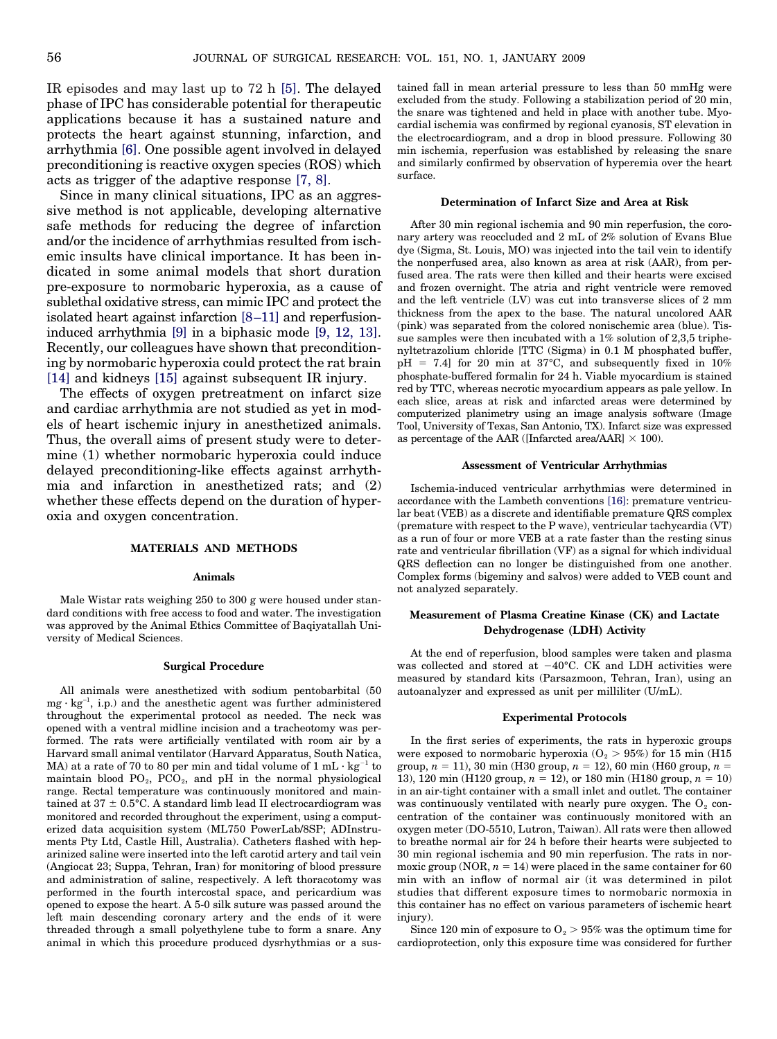IR episodes and may last up to 72 h [\[5\].](#page-6-0) The delayed phase of IPC has considerable potential for therapeutic applications because it has a sustained nature and protects the heart against stunning, infarction, and arrhythmia [\[6\].](#page-6-0) One possible agent involved in delayed preconditioning is reactive oxygen species (ROS) which acts as trigger of the adaptive response [\[7, 8\].](#page-6-0)

Since in many clinical situations, IPC as an aggressive method is not applicable, developing alternative safe methods for reducing the degree of infarction and/or the incidence of arrhythmias resulted from ischemic insults have clinical importance. It has been indicated in some animal models that short duration pre-exposure to normobaric hyperoxia, as a cause of sublethal oxidative stress, can mimic IPC and protect the isolated heart against infarction [\[8–11\]](#page-6-0) and reperfusioninduced arrhythmia [\[9\]](#page-6-0) in a biphasic mode [\[9, 12, 13\].](#page-6-0) Recently, our colleagues have shown that preconditioning by normobaric hyperoxia could protect the rat brain [\[14\]](#page-6-0) and kidneys [\[15\]](#page-6-0) against subsequent IR injury.

The effects of oxygen pretreatment on infarct size and cardiac arrhythmia are not studied as yet in models of heart ischemic injury in anesthetized animals. Thus, the overall aims of present study were to determine (1) whether normobaric hyperoxia could induce delayed preconditioning-like effects against arrhythmia and infarction in anesthetized rats; and (2) whether these effects depend on the duration of hyperoxia and oxygen concentration.

# **MATERIALS AND METHODS**

#### **Animals**

Male Wistar rats weighing 250 to 300 g were housed under standard conditions with free access to food and water. The investigation was approved by the Animal Ethics Committee of Baqiyatallah University of Medical Sciences.

#### **Surgical Procedure**

All animals were anesthetized with sodium pentobarbital (50  $mg \cdot kg^{-1}$ , i.p.) and the anesthetic agent was further administered throughout the experimental protocol as needed. The neck was opened with a ventral midline incision and a tracheotomy was performed. The rats were artificially ventilated with room air by a Harvard small animal ventilator (Harvard Apparatus, South Natica, MA) at a rate of 70 to 80 per min and tidal volume of  $1 \text{ mL} \cdot \text{kg}^{-1}$  to maintain blood  $PO<sub>2</sub>$ ,  $PCO<sub>2</sub>$ , and pH in the normal physiological range. Rectal temperature was continuously monitored and maintained at 37  $\pm$  0.5°C. A standard limb lead II electrocardiogram was monitored and recorded throughout the experiment, using a computerized data acquisition system (ML750 PowerLab/8SP; ADInstruments Pty Ltd, Castle Hill, Australia). Catheters flashed with heparinized saline were inserted into the left carotid artery and tail vein (Angiocat 23; Suppa, Tehran, Iran) for monitoring of blood pressure and administration of saline, respectively. A left thoracotomy was performed in the fourth intercostal space, and pericardium was opened to expose the heart. A 5-0 silk suture was passed around the left main descending coronary artery and the ends of it were threaded through a small polyethylene tube to form a snare. Any animal in which this procedure produced dysrhythmias or a sustained fall in mean arterial pressure to less than 50 mmHg were excluded from the study. Following a stabilization period of 20 min, the snare was tightened and held in place with another tube. Myocardial ischemia was confirmed by regional cyanosis, ST elevation in the electrocardiogram, and a drop in blood pressure. Following 30 min ischemia, reperfusion was established by releasing the snare and similarly confirmed by observation of hyperemia over the heart surface.

#### **Determination of Infarct Size and Area at Risk**

After 30 min regional ischemia and 90 min reperfusion, the coronary artery was reoccluded and 2 mL of 2% solution of Evans Blue dye (Sigma, St. Louis, MO) was injected into the tail vein to identify the nonperfused area, also known as area at risk (AAR), from perfused area. The rats were then killed and their hearts were excised and frozen overnight. The atria and right ventricle were removed and the left ventricle (LV) was cut into transverse slices of 2 mm thickness from the apex to the base. The natural uncolored AAR (pink) was separated from the colored nonischemic area (blue). Tissue samples were then incubated with a 1% solution of 2,3,5 triphenyltetrazolium chloride [TTC (Sigma) in 0.1 M phosphated buffer,  $pH = 7.4$  for 20 min at 37°C, and subsequently fixed in 10% phosphate-buffered formalin for 24 h. Viable myocardium is stained red by TTC, whereas necrotic myocardium appears as pale yellow. In each slice, areas at risk and infarcted areas were determined by computerized planimetry using an image analysis software (Image Tool, University of Texas, San Antonio, TX). Infarct size was expressed as percentage of the AAR ([Infarcted area/AAR]  $\times$  100).

# **Assessment of Ventricular Arrhythmias**

Ischemia-induced ventricular arrhythmias were determined in accordance with the Lambeth conventions [\[16\]:](#page-6-0) premature ventricular beat (VEB) as a discrete and identifiable premature QRS complex (premature with respect to the P wave), ventricular tachycardia (VT) as a run of four or more VEB at a rate faster than the resting sinus rate and ventricular fibrillation (VF) as a signal for which individual QRS deflection can no longer be distinguished from one another. Complex forms (bigeminy and salvos) were added to VEB count and not analyzed separately.

# **Measurement of Plasma Creatine Kinase (CK) and Lactate Dehydrogenase (LDH) Activity**

At the end of reperfusion, blood samples were taken and plasma was collected and stored at  $-40^{\circ}$ C. CK and LDH activities were measured by standard kits (Parsazmoon, Tehran, Iran), using an autoanalyzer and expressed as unit per milliliter (U/mL).

#### **Experimental Protocols**

In the first series of experiments, the rats in hyperoxic groups were exposed to normobaric hyperoxia ( $O<sub>2</sub> > 95%$ ) for 15 min (H15 group,  $n = 11$ ), 30 min (H30 group,  $n = 12$ ), 60 min (H60 group,  $n =$ 13), 120 min (H120 group,  $n = 12$ ), or 180 min (H180 group,  $n = 10$ ) in an air-tight container with a small inlet and outlet. The container was continuously ventilated with nearly pure oxygen. The  $O_2$  concentration of the container was continuously monitored with an oxygen meter (DO-5510, Lutron, Taiwan). All rats were then allowed to breathe normal air for 24 h before their hearts were subjected to 30 min regional ischemia and 90 min reperfusion. The rats in normoxic group (NOR,  $n = 14$ ) were placed in the same container for 60 min with an inflow of normal air (it was determined in pilot studies that different exposure times to normobaric normoxia in this container has no effect on various parameters of ischemic heart injury).

Since 120 min of exposure to  $O_2 > 95\%$  was the optimum time for cardioprotection, only this exposure time was considered for further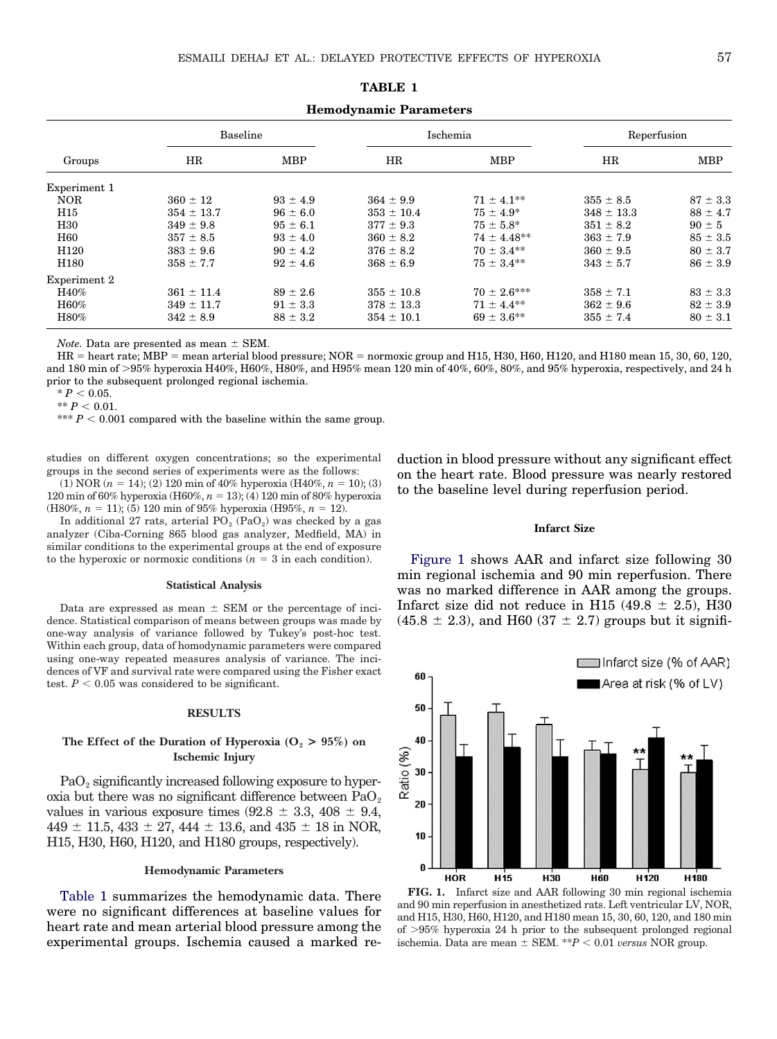| Groups           | Baseline       |              | Ischemia       |                 | Reperfusion    |              |
|------------------|----------------|--------------|----------------|-----------------|----------------|--------------|
|                  | HR             | <b>MBP</b>   | HR             | <b>MBP</b>      | HR             | <b>MBP</b>   |
| Experiment 1     |                |              |                |                 |                |              |
| <b>NOR</b>       | $360 \pm 12$   | $93 \pm 4.9$ | $364 \pm 9.9$  | $71 \pm 4.1***$ | $355 \pm 8.5$  | $87 \pm 3.3$ |
| H15              | $354 \pm 13.7$ | $96 \pm 6.0$ | $353 \pm 10.4$ | $75 \pm 4.9^*$  | $348 \pm 13.3$ | $88 \pm 4.7$ |
| H <sub>30</sub>  | $349 \pm 9.8$  | $95 \pm 6.1$ | $377 \pm 9.3$  | $75 \pm 5.8^*$  | $351 \pm 8.2$  | $90 \pm 5$   |
| <b>H60</b>       | $357 \pm 8.5$  | $93 \pm 4.0$ | $360 \pm 8.2$  | $74 \pm 4.48**$ | $363 \pm 7.9$  | $85 \pm 3.5$ |
| H <sub>120</sub> | $383 \pm 9.6$  | $90 \pm 4.2$ | $376 \pm 8.2$  | $70 \pm 3.4**$  | $360 \pm 9.5$  | $80 \pm 3.7$ |
| H <sub>180</sub> | $358 \pm 7.7$  | $92 \pm 4.6$ | $368 \pm 6.9$  | $75 \pm 3.4***$ | $343 \pm 5.7$  | $86 \pm 3.9$ |
| Experiment 2     |                |              |                |                 |                |              |
| H40%             | $361 \pm 11.4$ | $89 \pm 2.6$ | $355 \pm 10.8$ | $70 \pm 2.6***$ | $358 \pm 7.1$  | $83 \pm 3.3$ |
| H60%             | $349 \pm 11.7$ | $91 \pm 3.3$ | $378 \pm 13.3$ | $71 \pm 4.4***$ | $362 \pm 9.6$  | $82 \pm 3.9$ |
| H80%             | $342 \pm 8.9$  | $88 \pm 3.2$ | $354 \pm 10.1$ | $69 \pm 3.6$ ** | $355 \pm 7.4$  | $80 \pm 3.1$ |

**TABLE 1 Hemodynamic Parameters**

*Note.* Data are presented as mean  $\pm$  SEM.

 $HR =$  heart rate; MBP = mean arterial blood pressure; NOR = normoxic group and H15, H30, H60, H120, and H180 mean 15, 30, 60, 120, and 180 min of 95% hyperoxia H40%, H60%, H80%, and H95% mean 120 min of 40%, 60%, 80%, and 95% hyperoxia, respectively, and 24 h prior to the subsequent prolonged regional ischemia.

 $* P < 0.05.$  $*$ <sup>\*</sup>  $P < 0.01$ .

\*\*\*  $P < 0.001$  compared with the baseline within the same group.

studies on different oxygen concentrations; so the experimental groups in the second series of experiments were as the follows:

(1) NOR  $(n = 14)$ ; (2) 120 min of 40% hyperoxia (H40%,  $n = 10$ ); (3) 120 min of 60% hyperoxia (H60%,  $n = 13$ ); (4) 120 min of 80% hyperoxia  $(H80\%, n = 11)$ ; (5) 120 min of 95% hyperoxia (H95%,  $n = 12$ ).

In additional 27 rats, arterial  $PO<sub>2</sub> (PaO<sub>2</sub>)$  was checked by a gas analyzer (Ciba-Corning 865 blood gas analyzer, Medfield, MA) in similar conditions to the experimental groups at the end of exposure to the hyperoxic or normoxic conditions  $(n = 3$  in each condition).

# **Statistical Analysis**

Data are expressed as mean  $\pm$  SEM or the percentage of incidence. Statistical comparison of means between groups was made by one-way analysis of variance followed by Tukey's post-hoc test. Within each group, data of homodynamic parameters were compared using one-way repeated measures analysis of variance. The incidences of VF and survival rate were compared using the Fisher exact test.  $P < 0.05$  was considered to be significant.

#### **RESULTS**

# The Effect of the Duration of Hyperoxia  $(O_2 > 95\%)$  on **Ischemic Injury**

PaO<sub>2</sub> significantly increased following exposure to hyperoxia but there was no significant difference between  $PaO<sub>2</sub>$ values in various exposure times  $(92.8 \pm 3.3, 408 \pm 9.4,$  $449 \pm 11.5$ ,  $433 \pm 27$ ,  $444 \pm 13.6$ , and  $435 \pm 18$  in NOR, H15, H30, H60, H120, and H180 groups, respectively).

# **Hemodynamic Parameters**

Table 1 summarizes the hemodynamic data. There were no significant differences at baseline values for heart rate and mean arterial blood pressure among the experimental groups. Ischemia caused a marked reduction in blood pressure without any significant effect on the heart rate. Blood pressure was nearly restored to the baseline level during reperfusion period.

#### **Infarct Size**

Figure 1 shows AAR and infarct size following 30 min regional ischemia and 90 min reperfusion. There was no marked difference in AAR among the groups. Infarct size did not reduce in H15  $(49.8 \pm 2.5)$ , H30  $(45.8 \pm 2.3)$ , and H60  $(37 \pm 2.7)$  groups but it signifi-



**FIG. 1.** Infarct size and AAR following 30 min regional ischemia and 90 min reperfusion in anesthetized rats. Left ventricular LV, NOR, and H15, H30, H60, H120, and H180 mean 15, 30, 60, 120, and 180 min of 95% hyperoxia 24 h prior to the subsequent prolonged regional ischemia. Data are mean  $\pm$  SEM. \*\**P* < 0.01 *versus* NOR group.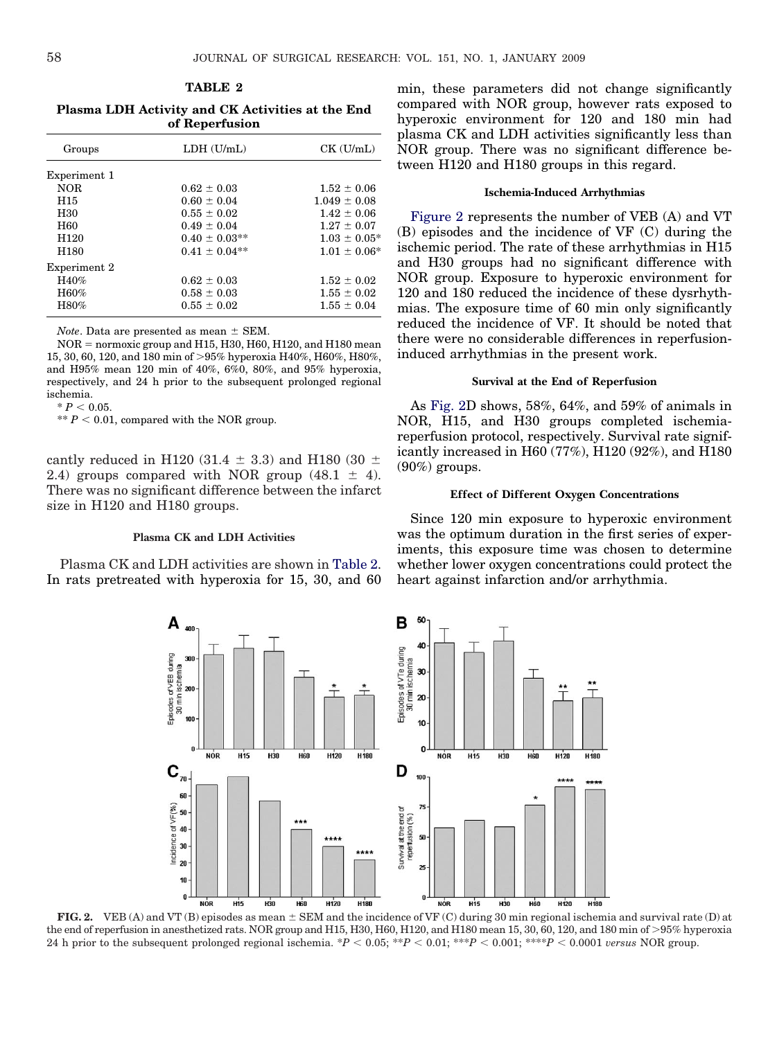# **TABLE 2**

<span id="page-3-0"></span>**Plasma LDH Activity and CK Activities at the End of Reperfusion**

| Groups           | $LDH$ $(U/mL)$     | $CK$ (U/mL)       |  |
|------------------|--------------------|-------------------|--|
| Experiment 1     |                    |                   |  |
| <b>NOR</b>       | $0.62 \pm 0.03$    | $1.52 \pm 0.06$   |  |
| H <sub>15</sub>  | $0.60 \pm 0.04$    | $1.049 \pm 0.08$  |  |
| H <sub>30</sub>  | $0.55 \pm 0.02$    | $1.42 \pm 0.06$   |  |
| H <sub>60</sub>  | $0.49 \pm 0.04$    | $1.27 \pm 0.07$   |  |
| H <sub>120</sub> | $0.40 \pm 0.03$ ** | $1.03 \pm 0.05^*$ |  |
| H <sub>180</sub> | $0.41 \pm 0.04$ ** | $1.01 \pm 0.06^*$ |  |
| Experiment 2     |                    |                   |  |
| H40%             | $0.62 \pm 0.03$    | $1.52 \pm 0.02$   |  |
| H60%             | $0.58 \pm 0.03$    | $1.55 \pm 0.02$   |  |
| H80%             | $0.55 \pm 0.02$    | $1.55 \pm 0.04$   |  |

*Note*. Data are presented as mean  $\pm$  SEM.

 $NOR =$  normoxic group and H15, H30, H60, H120, and H180 mean 15, 30, 60, 120, and 180 min of 95% hyperoxia H40%, H60%, H80%, and H95% mean 120 min of 40%, 6%0, 80%, and 95% hyperoxia, respectively, and 24 h prior to the subsequent prolonged regional ischemia.

 $* P < 0.05$ .

 $** P < 0.01$ , compared with the NOR group.

cantly reduced in H120 (31.4  $\pm$  3.3) and H180 (30  $\pm$ 2.4) groups compared with NOR group  $(48.1 \pm 4)$ . There was no significant difference between the infarct size in H120 and H180 groups.

#### **Plasma CK and LDH Activities**

Plasma CK and LDH activities are shown in Table 2. In rats pretreated with hyperoxia for 15, 30, and 60 min, these parameters did not change significantly compared with NOR group, however rats exposed to hyperoxic environment for 120 and 180 min had plasma CK and LDH activities significantly less than NOR group. There was no significant difference between H120 and H180 groups in this regard.

# **Ischemia-Induced Arrhythmias**

Figure 2 represents the number of VEB (A) and VT (B) episodes and the incidence of VF (C) during the ischemic period. The rate of these arrhythmias in H15 and H30 groups had no significant difference with NOR group. Exposure to hyperoxic environment for 120 and 180 reduced the incidence of these dysrhythmias. The exposure time of 60 min only significantly reduced the incidence of VF. It should be noted that there were no considerable differences in reperfusioninduced arrhythmias in the present work.

# **Survival at the End of Reperfusion**

As Fig. 2D shows, 58%, 64%, and 59% of animals in NOR, H15, and H30 groups completed ischemiareperfusion protocol, respectively. Survival rate significantly increased in H60 (77%), H120 (92%), and H180  $(90\%)$  groups.

# **Effect of Different Oxygen Concentrations**

Since 120 min exposure to hyperoxic environment was the optimum duration in the first series of experiments, this exposure time was chosen to determine whether lower oxygen concentrations could protect the heart against infarction and/or arrhythmia.



**FIG. 2.** VEB (A) and VT (B) episodes as mean  $\pm$  SEM and the incidence of VF (C) during 30 min regional ischemia and survival rate (D) at the end of reperfusion in anesthetized rats. NOR group and H15, H30, H60, H120, and H180 mean 15, 30, 60, 120, and 180 min of >95% hyperoxia 24 h prior to the subsequent prolonged regional ischemia.  $*P < 0.05$ ;  $**P < 0.01$ ;  $***P < 0.001$ ;  $***P < 0.0001$  *versus* NOR group.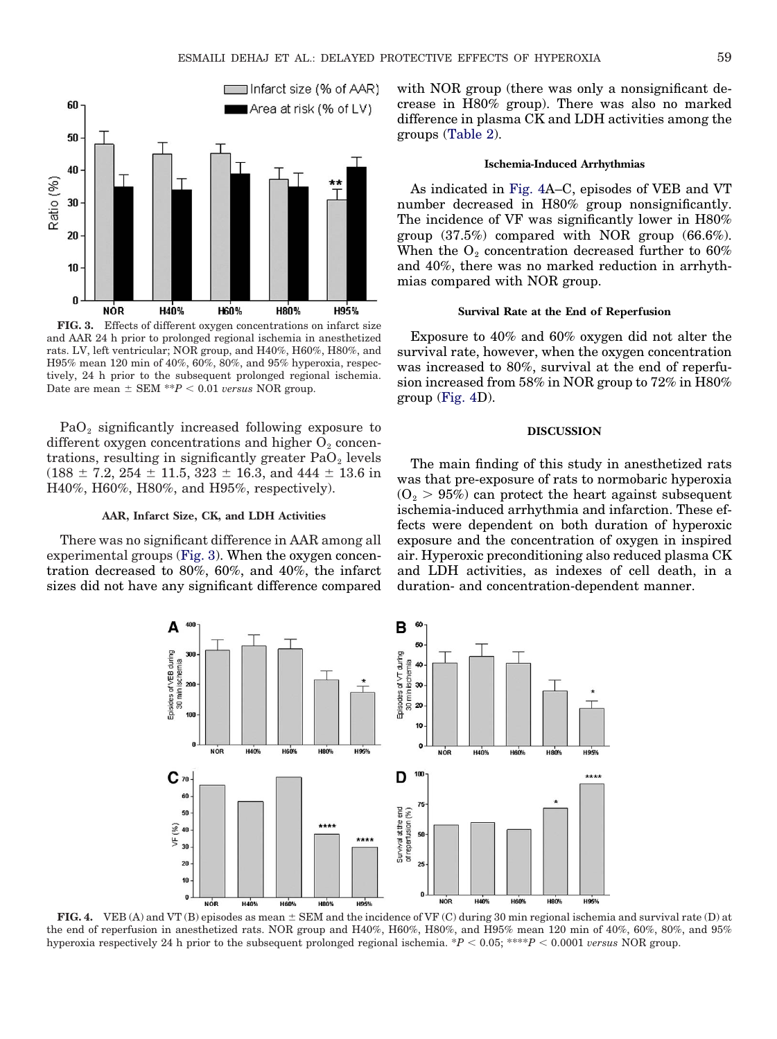

**FIG. 3.** Effects of different oxygen concentrations on infarct size and AAR 24 h prior to prolonged regional ischemia in anesthetized rats. LV, left ventricular; NOR group, and H40%, H60%, H80%, and H95% mean 120 min of 40%, 60%, 80%, and 95% hyperoxia, respectively, 24 h prior to the subsequent prolonged regional ischemia. Date are mean  $\pm$  SEM  $^{**}P < 0.01$  *versus* NOR group.

 $PaO<sub>2</sub>$  significantly increased following exposure to different oxygen concentrations and higher  $O_2$  concentrations, resulting in significantly greater  $PaO<sub>2</sub>$  levels  $(188 \pm 7.2, 254 \pm 11.5, 323 \pm 16.3, \mathrm{and} \ 444 \pm 13.6 \mathrm{in}$ H40%, H60%, H80%, and H95%, respectively).

#### **AAR, Infarct Size, CK, and LDH Activities**

There was no significant difference in AAR among all experimental groups (Fig. 3). When the oxygen concentration decreased to 80%, 60%, and 40%, the infarct sizes did not have any significant difference compared with NOR group (there was only a nonsignificant decrease in H80% group). There was also no marked difference in plasma CK and LDH activities among the groups [\(Table 2\)](#page-3-0).

# **Ischemia-Induced Arrhythmias**

As indicated in Fig. 4A–C, episodes of VEB and VT number decreased in H80% group nonsignificantly. The incidence of VF was significantly lower in H80% group (37.5%) compared with NOR group (66.6%). When the  $O_2$  concentration decreased further to 60% and 40%, there was no marked reduction in arrhythmias compared with NOR group.

# **Survival Rate at the End of Reperfusion**

Exposure to 40% and 60% oxygen did not alter the survival rate, however, when the oxygen concentration was increased to 80%, survival at the end of reperfusion increased from 58% in NOR group to 72% in H80% group (Fig. 4D).

# **DISCUSSION**

The main finding of this study in anesthetized rats was that pre-exposure of rats to normobaric hyperoxia  $(O<sub>2</sub> > 95%)$  can protect the heart against subsequent ischemia-induced arrhythmia and infarction. These effects were dependent on both duration of hyperoxic exposure and the concentration of oxygen in inspired air. Hyperoxic preconditioning also reduced plasma CK and LDH activities, as indexes of cell death, in a duration- and concentration-dependent manner.



**FIG. 4.** VEB (A) and VT (B) episodes as mean  $\pm$  SEM and the incidence of VF (C) during 30 min regional ischemia and survival rate (D) at the end of reperfusion in anesthetized rats. NOR group and H40%, H60%, H80%, and H95% mean 120 min of 40%, 60%, 80%, and 95% hyperoxia respectively 24 h prior to the subsequent prolonged regional ischemia. \* $P < 0.05$ ; \*\*\* $P < 0.0001$  *versus* NOR group.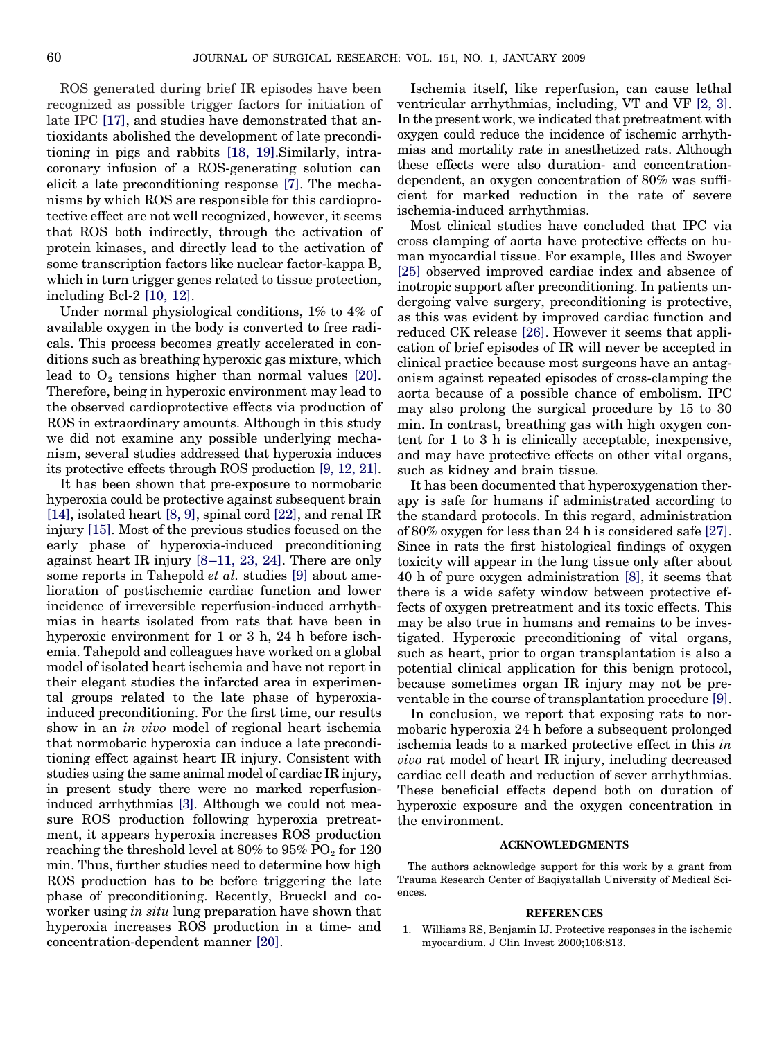<span id="page-5-0"></span>ROS generated during brief IR episodes have been recognized as possible trigger factors for initiation of late IPC [\[17\],](#page-6-0) and studies have demonstrated that antioxidants abolished the development of late preconditioning in pigs and rabbits [\[18, 19\].](#page-6-0)Similarly, intracoronary infusion of a ROS-generating solution can elicit a late preconditioning response [\[7\].](#page-6-0) The mechanisms by which ROS are responsible for this cardioprotective effect are not well recognized, however, it seems that ROS both indirectly, through the activation of protein kinases, and directly lead to the activation of some transcription factors like nuclear factor-kappa B, which in turn trigger genes related to tissue protection, including Bcl-2 [\[10, 12\].](#page-6-0)

Under normal physiological conditions, 1% to 4% of available oxygen in the body is converted to free radicals. This process becomes greatly accelerated in conditions such as breathing hyperoxic gas mixture, which lead to  $O_2$  tensions higher than normal values [\[20\].](#page-6-0) Therefore, being in hyperoxic environment may lead to the observed cardioprotective effects via production of ROS in extraordinary amounts. Although in this study we did not examine any possible underlying mechanism, several studies addressed that hyperoxia induces its protective effects through ROS production [\[9, 12, 21\].](#page-6-0)

It has been shown that pre-exposure to normobaric hyperoxia could be protective against subsequent brain [\[14\],](#page-6-0) isolated heart [\[8, 9\],](#page-6-0) spinal cord [\[22\],](#page-6-0) and renal IR injury [\[15\].](#page-6-0) Most of the previous studies focused on the early phase of hyperoxia-induced preconditioning against heart IR injury [\[8–11, 23, 24\].](#page-6-0) There are only some reports in Tahepold *et al.* studies [\[9\]](#page-6-0) about amelioration of postischemic cardiac function and lower incidence of irreversible reperfusion-induced arrhythmias in hearts isolated from rats that have been in hyperoxic environment for 1 or 3 h, 24 h before ischemia. Tahepold and colleagues have worked on a global model of isolated heart ischemia and have not report in their elegant studies the infarcted area in experimental groups related to the late phase of hyperoxiainduced preconditioning. For the first time, our results show in an *in vivo* model of regional heart ischemia that normobaric hyperoxia can induce a late preconditioning effect against heart IR injury. Consistent with studies using the same animal model of cardiac IR injury, in present study there were no marked reperfusioninduced arrhythmias [\[3\].](#page-6-0) Although we could not measure ROS production following hyperoxia pretreatment, it appears hyperoxia increases ROS production reaching the threshold level at  $80\%$  to  $95\%$  PO<sub>2</sub> for 120 min. Thus, further studies need to determine how high ROS production has to be before triggering the late phase of preconditioning. Recently, Brueckl and coworker using *in situ* lung preparation have shown that hyperoxia increases ROS production in a time- and concentration-dependent manner [\[20\].](#page-6-0)

Ischemia itself, like reperfusion, can cause lethal ventricular arrhythmias, including, VT and VF [\[2, 3\].](#page-6-0) In the present work, we indicated that pretreatment with oxygen could reduce the incidence of ischemic arrhythmias and mortality rate in anesthetized rats. Although these effects were also duration- and concentrationdependent, an oxygen concentration of 80% was sufficient for marked reduction in the rate of severe ischemia-induced arrhythmias.

Most clinical studies have concluded that IPC via cross clamping of aorta have protective effects on human myocardial tissue. For example, Illes and Swoyer [\[25\]](#page-6-0) observed improved cardiac index and absence of inotropic support after preconditioning. In patients undergoing valve surgery, preconditioning is protective, as this was evident by improved cardiac function and reduced CK release [\[26\].](#page-6-0) However it seems that application of brief episodes of IR will never be accepted in clinical practice because most surgeons have an antagonism against repeated episodes of cross-clamping the aorta because of a possible chance of embolism. IPC may also prolong the surgical procedure by 15 to 30 min. In contrast, breathing gas with high oxygen content for 1 to 3 h is clinically acceptable, inexpensive, and may have protective effects on other vital organs, such as kidney and brain tissue.

It has been documented that hyperoxygenation therapy is safe for humans if administrated according to the standard protocols. In this regard, administration of 80% oxygen for less than 24 h is considered safe [\[27\].](#page-6-0) Since in rats the first histological findings of oxygen toxicity will appear in the lung tissue only after about 40 h of pure oxygen administration [\[8\],](#page-6-0) it seems that there is a wide safety window between protective effects of oxygen pretreatment and its toxic effects. This may be also true in humans and remains to be investigated. Hyperoxic preconditioning of vital organs, such as heart, prior to organ transplantation is also a potential clinical application for this benign protocol, because sometimes organ IR injury may not be preventable in the course of transplantation procedure [\[9\].](#page-6-0)

In conclusion, we report that exposing rats to normobaric hyperoxia 24 h before a subsequent prolonged ischemia leads to a marked protective effect in this *in vivo* rat model of heart IR injury, including decreased cardiac cell death and reduction of sever arrhythmias. These beneficial effects depend both on duration of hyperoxic exposure and the oxygen concentration in the environment.

# **ACKNOWLEDGMENTS**

The authors acknowledge support for this work by a grant from Trauma Research Center of Baqiyatallah University of Medical Sciences.

#### **REFERENCES**

1. Williams RS, Benjamin IJ. Protective responses in the ischemic myocardium. J Clin Invest 2000;106:813.